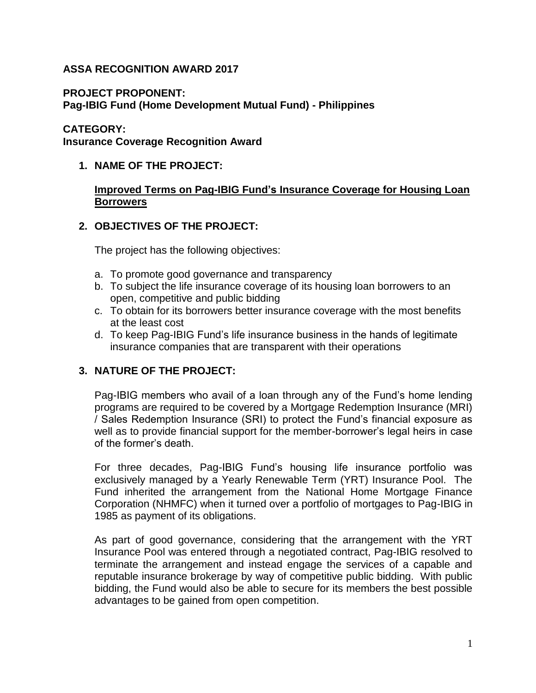## **ASSA RECOGNITION AWARD 2017**

#### **PROJECT PROPONENT:**

**Pag-IBIG Fund (Home Development Mutual Fund) - Philippines**

#### **CATEGORY:**

**Insurance Coverage Recognition Award**

### **1. NAME OF THE PROJECT:**

#### **Improved Terms on Pag-IBIG Fund's Insurance Coverage for Housing Loan Borrowers**

### **2. OBJECTIVES OF THE PROJECT:**

The project has the following objectives:

- a. To promote good governance and transparency
- b. To subject the life insurance coverage of its housing loan borrowers to an open, competitive and public bidding
- c. To obtain for its borrowers better insurance coverage with the most benefits at the least cost
- d. To keep Pag-IBIG Fund's life insurance business in the hands of legitimate insurance companies that are transparent with their operations

# **3. NATURE OF THE PROJECT:**

Pag-IBIG members who avail of a loan through any of the Fund's home lending programs are required to be covered by a Mortgage Redemption Insurance (MRI) / Sales Redemption Insurance (SRI) to protect the Fund's financial exposure as well as to provide financial support for the member-borrower's legal heirs in case of the former's death.

For three decades, Pag-IBIG Fund's housing life insurance portfolio was exclusively managed by a Yearly Renewable Term (YRT) Insurance Pool. The Fund inherited the arrangement from the National Home Mortgage Finance Corporation (NHMFC) when it turned over a portfolio of mortgages to Pag-IBIG in 1985 as payment of its obligations.

As part of good governance, considering that the arrangement with the YRT Insurance Pool was entered through a negotiated contract, Pag-IBIG resolved to terminate the arrangement and instead engage the services of a capable and reputable insurance brokerage by way of competitive public bidding. With public bidding, the Fund would also be able to secure for its members the best possible advantages to be gained from open competition.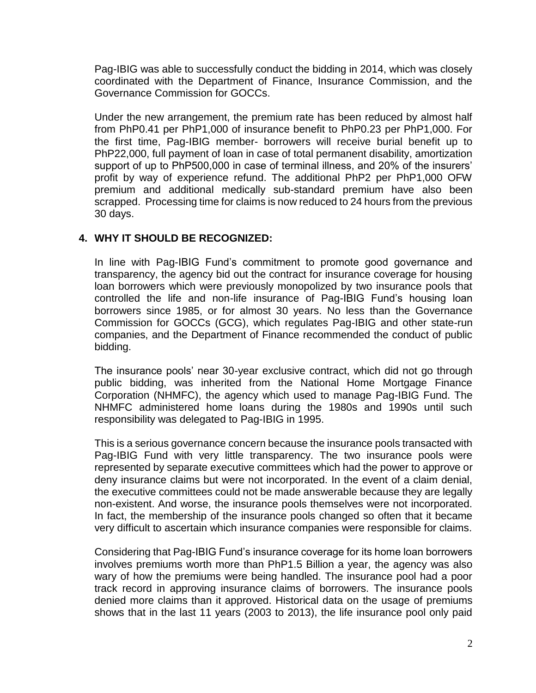Pag-IBIG was able to successfully conduct the bidding in 2014, which was closely coordinated with the Department of Finance, Insurance Commission, and the Governance Commission for GOCCs.

Under the new arrangement, the premium rate has been reduced by almost half from PhP0.41 per PhP1,000 of insurance benefit to PhP0.23 per PhP1,000. For the first time, Pag-IBIG member- borrowers will receive burial benefit up to PhP22,000, full payment of loan in case of total permanent disability, amortization support of up to PhP500,000 in case of terminal illness, and 20% of the insurers' profit by way of experience refund. The additional PhP2 per PhP1,000 OFW premium and additional medically sub-standard premium have also been scrapped. Processing time for claims is now reduced to 24 hours from the previous 30 days.

# **4. WHY IT SHOULD BE RECOGNIZED:**

In line with Pag-IBIG Fund's commitment to promote good governance and transparency, the agency bid out the contract for insurance coverage for housing loan borrowers which were previously monopolized by two insurance pools that controlled the life and non-life insurance of Pag-IBIG Fund's housing loan borrowers since 1985, or for almost 30 years. No less than the Governance Commission for GOCCs (GCG), which regulates Pag-IBIG and other state-run companies, and the Department of Finance recommended the conduct of public bidding.

The insurance pools' near 30-year exclusive contract, which did not go through public bidding, was inherited from the National Home Mortgage Finance Corporation (NHMFC), the agency which used to manage Pag-IBIG Fund. The NHMFC administered home loans during the 1980s and 1990s until such responsibility was delegated to Pag-IBIG in 1995.

This is a serious governance concern because the insurance pools transacted with Pag-IBIG Fund with very little transparency. The two insurance pools were represented by separate executive committees which had the power to approve or deny insurance claims but were not incorporated. In the event of a claim denial, the executive committees could not be made answerable because they are legally non-existent. And worse, the insurance pools themselves were not incorporated. In fact, the membership of the insurance pools changed so often that it became very difficult to ascertain which insurance companies were responsible for claims.

Considering that Pag-IBIG Fund's insurance coverage for its home loan borrowers involves premiums worth more than PhP1.5 Billion a year, the agency was also wary of how the premiums were being handled. The insurance pool had a poor track record in approving insurance claims of borrowers. The insurance pools denied more claims than it approved. Historical data on the usage of premiums shows that in the last 11 years (2003 to 2013), the life insurance pool only paid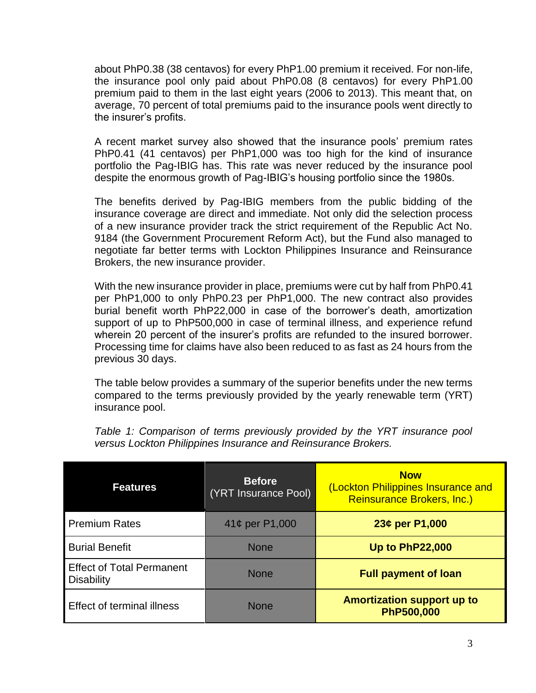about PhP0.38 (38 centavos) for every PhP1.00 premium it received. For non-life, the insurance pool only paid about PhP0.08 (8 centavos) for every PhP1.00 premium paid to them in the last eight years (2006 to 2013). This meant that, on average, 70 percent of total premiums paid to the insurance pools went directly to the insurer's profits.

A recent market survey also showed that the insurance pools' premium rates PhP0.41 (41 centavos) per PhP1,000 was too high for the kind of insurance portfolio the Pag-IBIG has. This rate was never reduced by the insurance pool despite the enormous growth of Pag-IBIG's housing portfolio since the 1980s.

The benefits derived by Pag-IBIG members from the public bidding of the insurance coverage are direct and immediate. Not only did the selection process of a new insurance provider track the strict requirement of the Republic Act No. 9184 (the Government Procurement Reform Act), but the Fund also managed to negotiate far better terms with Lockton Philippines Insurance and Reinsurance Brokers, the new insurance provider.

With the new insurance provider in place, premiums were cut by half from PhP0.41 per PhP1,000 to only PhP0.23 per PhP1,000. The new contract also provides burial benefit worth PhP22,000 in case of the borrower's death, amortization support of up to PhP500,000 in case of terminal illness, and experience refund wherein 20 percent of the insurer's profits are refunded to the insured borrower. Processing time for claims have also been reduced to as fast as 24 hours from the previous 30 days.

The table below provides a summary of the superior benefits under the new terms compared to the terms previously provided by the yearly renewable term (YRT) insurance pool.

**Features Before** (YRT Insurance Pool) **Now** (Lockton Philippines Insurance and Reinsurance Brokers, Inc.)

*Table 1: Comparison of terms previously provided by the YRT insurance pool versus Lockton Philippines Insurance and Reinsurance Brokers.*

| <b>Features</b>                                       | <b>Before</b><br>(YRT Insurance Pool) | <b>Now</b><br>(Lockton Philippines Insurance and<br>Reinsurance Brokers, Inc.) |
|-------------------------------------------------------|---------------------------------------|--------------------------------------------------------------------------------|
| <b>Premium Rates</b>                                  | 41¢ per P1,000                        | 23¢ per P1,000                                                                 |
| <b>Burial Benefit</b>                                 | <b>None</b>                           | <b>Up to PhP22,000</b>                                                         |
| <b>Effect of Total Permanent</b><br><b>Disability</b> | <b>None</b>                           | <b>Full payment of loan</b>                                                    |
| <b>Effect of terminal illness</b>                     | <b>None</b>                           | <b>Amortization support up to</b><br>PhP500,000                                |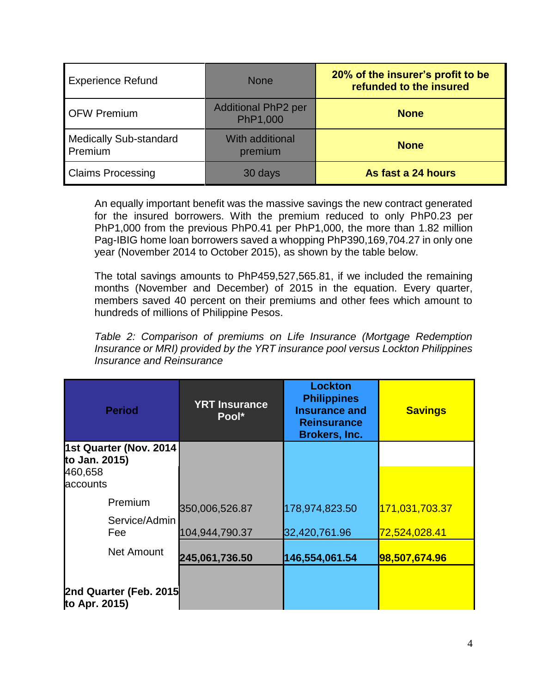| <b>Experience Refund</b>                 | <b>None</b>                            | 20% of the insurer's profit to be<br>refunded to the insured |
|------------------------------------------|----------------------------------------|--------------------------------------------------------------|
| <b>OFW Premium</b>                       | <b>Additional PhP2 per</b><br>PhP1,000 | <b>None</b>                                                  |
| <b>Medically Sub-standard</b><br>Premium | With additional<br>premium             | <b>None</b>                                                  |
| <b>Claims Processing</b>                 | 30 days                                | As fast a 24 hours                                           |

An equally important benefit was the massive savings the new contract generated for the insured borrowers. With the premium reduced to only PhP0.23 per PhP1,000 from the previous PhP0.41 per PhP1,000, the more than 1.82 million Pag-IBIG home loan borrowers saved a whopping PhP390,169,704.27 in only one year (November 2014 to October 2015), as shown by the table below.

The total savings amounts to PhP459,527,565.81, if we included the remaining months (November and December) of 2015 in the equation. Every quarter, members saved 40 percent on their premiums and other fees which amount to hundreds of millions of Philippine Pesos.

*Table 2: Comparison of premiums on Life Insurance (Mortgage Redemption Insurance or MRI) provided by the YRT insurance pool versus Lockton Philippines Insurance and Reinsurance* 

| <b>Period</b>                           | <b>YRT Insurance</b><br>Pool* | <b>Lockton</b><br><b>Philippines</b><br><b>Insurance and</b><br><b>Reinsurance</b><br><b>Brokers, Inc.</b> | <b>Savings</b>             |
|-----------------------------------------|-------------------------------|------------------------------------------------------------------------------------------------------------|----------------------------|
| 1st Quarter (Nov. 2014                  |                               |                                                                                                            |                            |
| to Jan. 2015)<br>460,658<br>accounts    |                               |                                                                                                            |                            |
| Premium                                 | 350,006,526.87                | 178,974,823.50                                                                                             | 171,031,703.37             |
| Service/Admin<br>Fee                    | 104,944,790.37                | 32,420,761.96                                                                                              | <mark>72,524,028.41</mark> |
| <b>Net Amount</b>                       | 245,061,736.50                | 146,554,061.54                                                                                             | 98,507,674.96              |
| 2nd Quarter (Feb. 2015<br>to Apr. 2015) |                               |                                                                                                            |                            |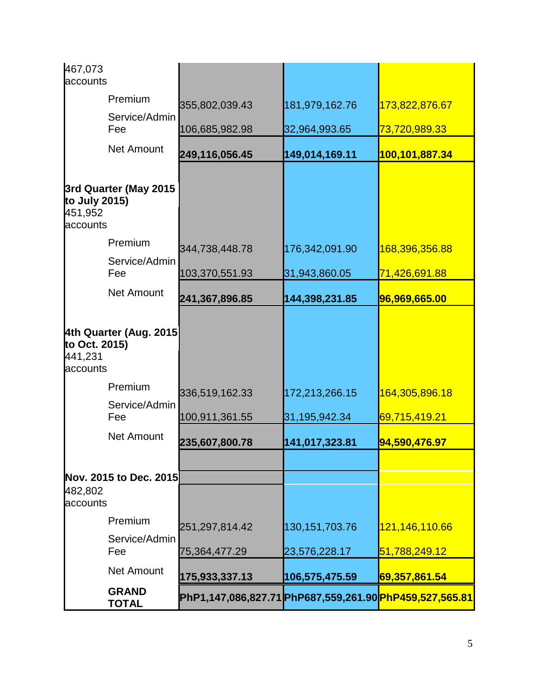| 467,073<br>accounts                                            |                              |                                                                                         |                   |                            |
|----------------------------------------------------------------|------------------------------|-----------------------------------------------------------------------------------------|-------------------|----------------------------|
|                                                                | Premium                      | 355,802,039.43                                                                          | 181,979,162.76    | 173,822,876.67             |
|                                                                | Service/Admin<br>Fee         | 106,685,982.98                                                                          | 32,964,993.65     | 73,720,989.33              |
|                                                                | <b>Net Amount</b>            | 249,116,056.45                                                                          | 149,014,169.11    | 100,101,887.34             |
| 3rd Quarter (May 2015<br>to July 2015)<br>451,952<br>accounts  |                              |                                                                                         |                   |                            |
|                                                                | Premium                      | 344,738,448.78                                                                          | 176,342,091.90    | 168,396,356.88             |
|                                                                | Service/Admin<br>Fee         | 103,370,551.93                                                                          | 31,943,860.05     | <mark>71,426,691.88</mark> |
|                                                                | <b>Net Amount</b>            | 241,367,896.85                                                                          | 144,398,231.85    | 96,969,665.00              |
| 4th Quarter (Aug. 2015<br>to Oct. 2015)<br>441,231<br>accounts |                              |                                                                                         |                   |                            |
|                                                                | Premium                      | 336,519,162.33                                                                          | 172,213,266.15    | 164,305,896.18             |
|                                                                | Service/Admin<br>Fee         | 100,911,361.55                                                                          | 31,195,942.34     | <mark>69,715,419.21</mark> |
|                                                                | <b>Net Amount</b>            | 235,607,800.78                                                                          | 141,017,323.81    | 94,590,476.97              |
| 482,802<br>accounts                                            | Nov. 2015 to Dec. 2015       |                                                                                         |                   |                            |
|                                                                | Premium                      | 251,297,814.42                                                                          | 130, 151, 703. 76 | 121,146,110.66             |
|                                                                | Service/Admin<br>Fee         | 75,364,477.29                                                                           | 23,576,228.17     | 51,788,249.12              |
|                                                                | <b>Net Amount</b>            |                                                                                         |                   |                            |
|                                                                | <b>GRAND</b><br><b>TOTAL</b> | 175,933,337.13<br>PhP1,147,086,827.71 PhP687,559,261.90  <mark>PhP459,527,565.81</mark> | 106,575,475.59    | 69,357,861.54              |